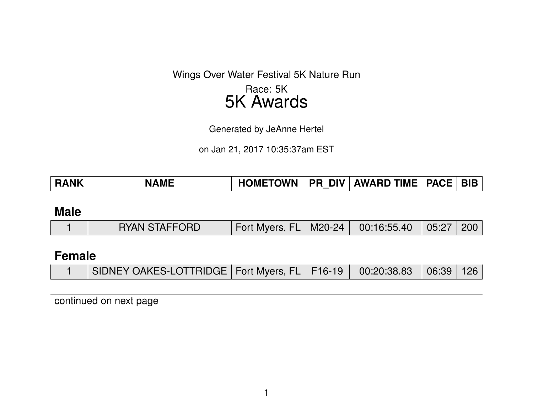Wings Over Water Festival 5K Nature Run

# Race: 5K 5K Awards

Generated by JeAnne Hertel

on Jan 21, 2017 10:35:37am EST

| PR_DIV   AWARD TIME   PACE   BIB  <br><b>HOMETOWN</b><br><b>RANK</b><br><b>NAME</b> |
|-------------------------------------------------------------------------------------|
|-------------------------------------------------------------------------------------|

### **Male**

|  | <b>RYAN STAFFORD</b> | Fort Myers, FL   M20-24   00:16:55.40   05:27   200 |  |  |  |  |
|--|----------------------|-----------------------------------------------------|--|--|--|--|
|--|----------------------|-----------------------------------------------------|--|--|--|--|

# **Female**

|  | SIDNEY OAKES-LOTTRIDGE   Fort Myers, FL   F16-19   00:20:38.83   06:39   126 |  |  |  |  |
|--|------------------------------------------------------------------------------|--|--|--|--|
|--|------------------------------------------------------------------------------|--|--|--|--|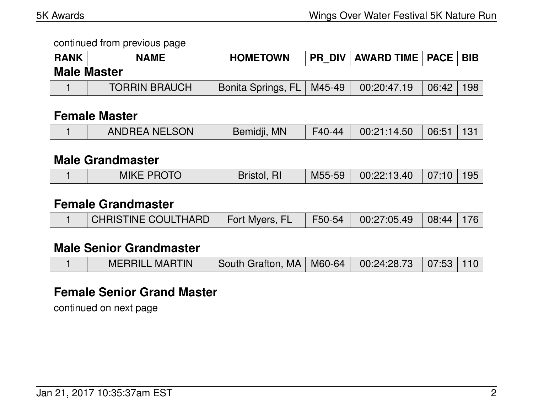| <b>RANK</b>        | <b>NAME</b>          | <b>HOMETOWN</b>           |        | PR DIV   AWARD TIME   PACE   BIB |       |     |  |  |  |
|--------------------|----------------------|---------------------------|--------|----------------------------------|-------|-----|--|--|--|
| <b>Male Master</b> |                      |                           |        |                                  |       |     |  |  |  |
|                    | <b>TORRIN BRAUCH</b> | <b>Bonita Springs, FL</b> | M45-49 | 00:20:47.19                      | 06:42 | 198 |  |  |  |

#### **Female Master**

| $\parallel$ F40-44 $\parallel$ 00:21:14.50 $\parallel$ 06:51   131<br><b>ANDREA NELSON</b><br>Bemidji, MN |
|-----------------------------------------------------------------------------------------------------------|
|-----------------------------------------------------------------------------------------------------------|

#### **Male Grandmaster**

|  | <b>MIKE PROTO</b> | Bristol, | M55-59 | $\set{00:22:13.40}$ 07:10 195 |  |  |
|--|-------------------|----------|--------|-------------------------------|--|--|
|--|-------------------|----------|--------|-------------------------------|--|--|

#### **Female Grandmaster**

|  | I CHRISTINE COULTHARD | Fort Myers, FL |  | F50-54   00:27:05.49   08:44   176 |  |  |
|--|-----------------------|----------------|--|------------------------------------|--|--|
|--|-----------------------|----------------|--|------------------------------------|--|--|

## **Male Senior Grandmaster**

|  | <b>MERRILL MARTIN</b> | South Grafton, MA   M60-64   00:24:28.73   07:53   110 |  |  |  |  |
|--|-----------------------|--------------------------------------------------------|--|--|--|--|
|--|-----------------------|--------------------------------------------------------|--|--|--|--|

#### **Female Senior Grand Master**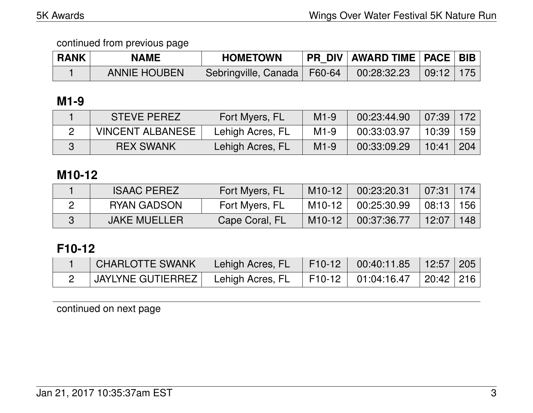| <b>RANK</b> | <b>NAME</b>         | <b>HOMETOWN</b>                                           | <b>PR DIV AWARD TIME PACE BIB</b> |  |
|-------------|---------------------|-----------------------------------------------------------|-----------------------------------|--|
|             | <b>ANNIE HOUBEN</b> | Sebringville, Canada   F60-64   00:28:32.23   09:12   175 |                                   |  |

## **M1-9**

| <b>STEVE PEREZ</b>      | Fort Myers, FL   | $M1-9$ | 00:23:44.90 | $07:39$   172 |     |
|-------------------------|------------------|--------|-------------|---------------|-----|
| <b>VINCENT ALBANESE</b> | Lehigh Acres, FL | $M1-9$ | 00:33:03.97 | 10:39∣        | 159 |
| <b>REX SWANK</b>        | Lehigh Acres, FL | $M1-9$ | 00:33:09.29 | 10:41         | 204 |

## **M10-12**

| <b>ISAAC PEREZ</b>  | Fort Myers, FL | $M10-12$            | 00:23:20.31 | $07:31$   174 |     |
|---------------------|----------------|---------------------|-------------|---------------|-----|
| RYAN GADSON         | Fort Myers, FL | M10-12              | 00:25:30.99 | $08:13$   156 |     |
| <b>JAKE MUELLER</b> | Cape Coral, FL | M <sub>10</sub> -12 | 00:37:36.77 | 12:07         | 148 |

# **F10-12**

| <b>CHARLOTTE SWANK</b>                                                       | Lehigh Acres, FL F10-12 00:40:11.85 12:57 205 |  |  |
|------------------------------------------------------------------------------|-----------------------------------------------|--|--|
| 「JAYLYNE GUTIERREZ   Lehigh Acres, FL    F10-12   01:04:16.47    20:42   216 |                                               |  |  |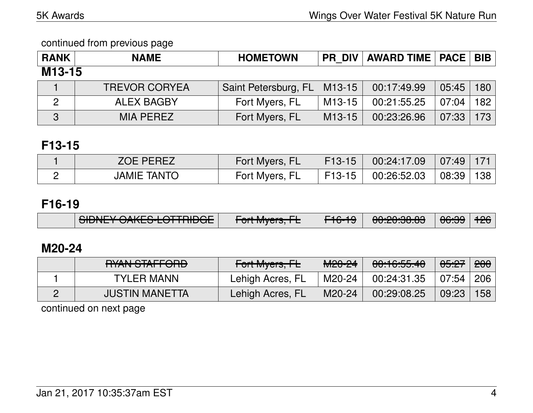| <b>RANK</b>         | <b>NAME</b>          | <b>HOMETOWN</b>      |                     | <b>PR DIV   AWARD TIME   PACE   BIB  </b> |       |     |
|---------------------|----------------------|----------------------|---------------------|-------------------------------------------|-------|-----|
| M <sub>13</sub> -15 |                      |                      |                     |                                           |       |     |
|                     | <b>TREVOR CORYEA</b> | Saint Petersburg, FL | M <sub>13</sub> -15 | 00:17:49.99                               | 05:45 | 180 |
| $\overline{2}$      | <b>ALEX BAGBY</b>    | Fort Myers, FL       | M <sub>13</sub> -15 | 00:21:55.25                               | 07:04 | 182 |
| 3                   | <b>MIA PEREZ</b>     | Fort Myers, FL       | M <sub>13</sub> -15 | 00:23:26.96                               | 07:33 | 173 |

# **F13-15**

| OE PEREZ        | Fort Myers, FL | $F13-15$ | 00:24:17.09 | 07:49 |    |
|-----------------|----------------|----------|-------------|-------|----|
| TANTC<br>JAMIE. | Fort Myers, FL | F13-15   | 00:26:52.03 | 08:39 | 38 |

# **F16-19**

|  | $\sqrt{2}$ CIDNIFY $\sqrt{2}$ AIZEC LOTTDIDCF<br><del>UIDNET VAREJ-LUTTINDUE</del> | $T_{\alpha}$ <sup>1</sup> Musse $\Gamma$<br><u>TUITIVIYEIS, TE</u> | $\Gamma$ 4 $\Omega$ 4 $\Omega$<br><del>LIQU</del> | LOO:00:00 OO<br><del>uu.cu.uu</del> | $AC.00$ $AC.00$<br>᠊ᠦᡂ | <b>TZU</b> |
|--|------------------------------------------------------------------------------------|--------------------------------------------------------------------|---------------------------------------------------|-------------------------------------|------------------------|------------|
|--|------------------------------------------------------------------------------------|--------------------------------------------------------------------|---------------------------------------------------|-------------------------------------|------------------------|------------|

# **M20-24**

| DVAN CTAFFODD<br><del>UNIVOIALI VIID</del> | Fort Myers, FL   | MOPA<br>MZU ZT | 00:16:55.40 | <del>05:27</del> | 200 |
|--------------------------------------------|------------------|----------------|-------------|------------------|-----|
| TYLER MANN                                 | Lehigh Acres, FL | M20-24         | 00:24:31.35 | $07:54$ J        | 206 |
| <b>JUSTIN MANETTA</b>                      | Lehigh Acres, FL | M20-24         | 00:29:08.25 | 09:23            | 158 |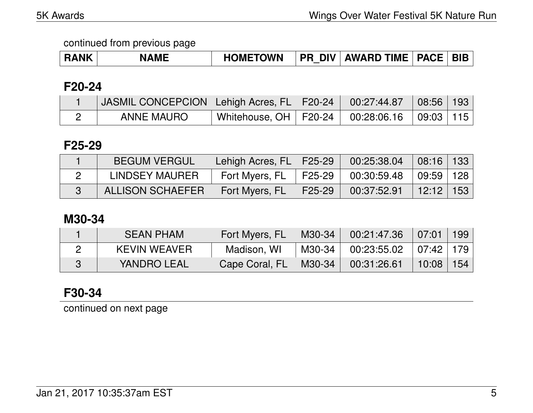| <b>RANK</b> | <b>NAME</b> | <b>HOMETOWN</b> | <b>DIV</b><br><b>PR</b> | <b>AWARD TIME</b> | <b>PACE</b> | <b>BIE</b> |
|-------------|-------------|-----------------|-------------------------|-------------------|-------------|------------|
|-------------|-------------|-----------------|-------------------------|-------------------|-------------|------------|

## **F20-24**

| JASMIL CONCEPCION   Lehigh Acres, FL   F20-24   00:27:44.87 |                                                     |  | $\mid$ 08:56   193 |  |
|-------------------------------------------------------------|-----------------------------------------------------|--|--------------------|--|
| ANNE MAURO                                                  | Whitehouse, OH   F20-24   00:28:06.16   09:03   115 |  |                    |  |

#### **F25-29**

| <b>BEGUM VERGUL</b>     | Lehigh Acres, FL   F25-29 \ |                                | 00:25:38.04 | $08:16$   133 |  |
|-------------------------|-----------------------------|--------------------------------|-------------|---------------|--|
| LINDSEY MAURER          | Fort Myers, FL              | $\parallel$ F25-29 $\parallel$ | 00:30:59.48 | 09:59   128   |  |
| <b>ALLISON SCHAEFER</b> | Fort Myers, FL              | $\mid$ F25-29                  | 00:37:52.91 | $12:12$   153 |  |

## **M30-34**

| <b>SEAN PHAM</b>    | Fort Myers, FL | M30-34 | 00:21:47.36                        | $07:01$   199 |  |
|---------------------|----------------|--------|------------------------------------|---------------|--|
| <b>KEVIN WEAVER</b> | Madison, WI    |        | M30-34   00:23:55.02   07:42   179 |               |  |
| YANDRO LEAL         | Cape Coral, FL | M30-34 | 00:31:26.61                        | $10:08$   154 |  |

# **F30-34**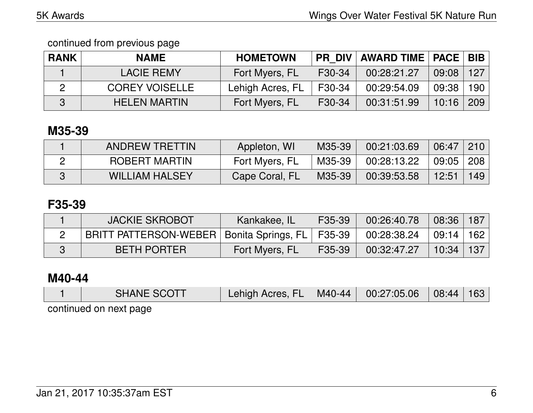| <b>RANK</b> | <b>NAME</b>           | <b>HOMETOWN</b>  |        | PR DIV   AWARD TIME   PACE   BIB |       |       |
|-------------|-----------------------|------------------|--------|----------------------------------|-------|-------|
|             | LACIE REMY            | Fort Myers, FL   | F30-34 | 00:28:21.27                      | 09:08 | 127   |
|             | <b>COREY VOISELLE</b> | Lehigh Acres, FL | F30-34 | 00:29:54.09                      | 09:38 | 190 l |
|             | <b>HELEN MARTIN</b>   | Fort Myers, FL   | F30-34 | 00:31:51.99                      | 10:16 | 209   |

# **M35-39**

| <b>ANDREW TRETTIN</b> | Appleton, WI   | M35-39 | 00:21:03.69 | 06:47         | 210 |
|-----------------------|----------------|--------|-------------|---------------|-----|
| ROBERT MARTIN         | Fort Myers, FL | M35-39 | 00:28:13.22 | $09:05$   208 |     |
| <b>WILLIAM HALSEY</b> | Cape Coral, FL | M35-39 | 00:39:53.58 | 12:51         | 149 |

# **F35-39**

| <b>JACKIE SKROBOT</b>                               | Kankakee, IL   | F35-39 | 00:26:40.78   | 08:36   187     |  |
|-----------------------------------------------------|----------------|--------|---------------|-----------------|--|
| BRITT PATTERSON-WEBER   Bonita Springs, FL   F35-39 |                |        | $00:28:38.24$ | │ 09:14 │ 162 │ |  |
| <b>BETH PORTER</b>                                  | Fort Myers, FL | F35-39 | 00:32:47.27   | $10:34$   137   |  |

## **M40-44**

| <b>SHANE SCOTT</b>     | ∕ Lehigh Acres, FL | M40-44 | $\begin{array}{ c c c c c c c c } \hline 00:27:05.06 & 08:44 & 163 \ \hline \end{array}$ |  |
|------------------------|--------------------|--------|------------------------------------------------------------------------------------------|--|
| continued on next page |                    |        |                                                                                          |  |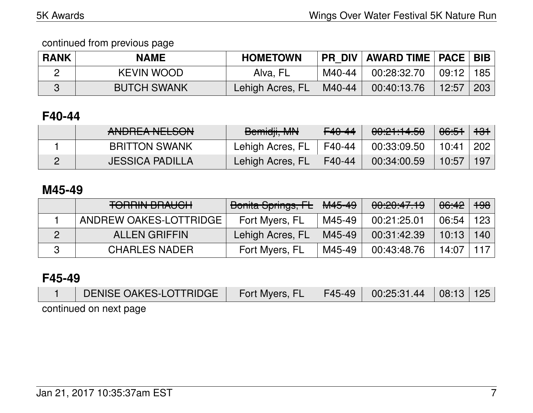| <b>RANK</b> | <b>NAME</b>        | <b>HOMETOWN</b>  |        | <b>PR DIV AWARD TIME   PACE   BIB</b> |               |     |
|-------------|--------------------|------------------|--------|---------------------------------------|---------------|-----|
|             | <b>KEVIN WOOD</b>  | Alva, FL         | M40-44 | 00:28:32.70                           | $09:12$   185 |     |
|             | <b>BUTCH SWANK</b> | Lehigh Acres, FL | M40-44 | 00:40:13.76                           | 12:57         | 203 |

# **F40-44**

| ANDDEA NELCON<br><b>ANUNLA INLLUUIV</b> | Bemidji, MN      | F <sub>40</sub> -44 | 00:21:14.50 | <del>06:51</del> ∣ <del>131</del> |     |
|-----------------------------------------|------------------|---------------------|-------------|-----------------------------------|-----|
| <b>BRITTON SWANK</b>                    | Lehigh Acres, FL | F40-44              | 00:33:09.50 | 10:41                             | 202 |
| <b>JESSICA PADILLA</b>                  | Lehigh Acres, FL | F40-44              | 00:34:00.59 | 10:57                             | 197 |

## **M45-49**

| <b>TORRIN BRAUCH</b>   | Bonita Springs, FL | $\vert$ <del>M45-49</del> | 00:20:47.19 | <del>06:42</del> | <del>198</del> |
|------------------------|--------------------|---------------------------|-------------|------------------|----------------|
| ANDREW OAKES-LOTTRIDGE | Fort Myers, FL     | M45-49                    | 00:21:25.01 | 06:54            | ∣ 123 ∣        |
| <b>ALLEN GRIFFIN</b>   | Lehigh Acres, FL   | M45-49                    | 00:31:42.39 | $10:13$   140    |                |
| <b>CHARLES NADER</b>   | Fort Myers, FL     | M45-49                    | 00:43:48.76 | 14:07            | 117            |

# **F45-49**

| DENISE OAKES-LOTTRIDGE | Fort Myers, FL F45-49 00:25:31.44 08:13 125 |  |  |
|------------------------|---------------------------------------------|--|--|
| continued on next page |                                             |  |  |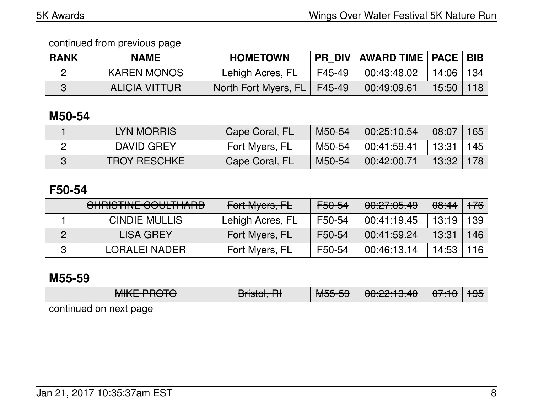| <b>RANK</b> | <b>NAME</b>        | <b>HOMETOWN</b>               |        | <b>PR DIV AWARD TIME   PACE   BIB</b> |               |     |
|-------------|--------------------|-------------------------------|--------|---------------------------------------|---------------|-----|
|             | <b>KAREN MONOS</b> | Lehigh Acres, FL              | F45-49 | 00:43:48.02                           | $14:06$   134 |     |
|             | ALICIA VITTUR      | North Fort Myers, FL   F45-49 |        | 00:49:09.61                           | 15:50         | 118 |

# **M50-54**

| LYN MORRIS          | Cape Coral, FL | M50-54 | 00:25:10.54 | 08:07         | 165 |
|---------------------|----------------|--------|-------------|---------------|-----|
| DAVID GREY          | Fort Myers, FL | M50-54 | 00:41:59.41 | $13:31$   145 |     |
| <b>TROY RESCHKE</b> | Cape Coral, FL | M50-54 | 00:42:00.71 | $13:32$   178 |     |

## **F50-54**

| CHRISTINE COULTHARD  | Fort Myers, FL   | <del>F50-54</del> | 00:27:05.49 | <del>08:44</del> 1 <del>76</del> |     |
|----------------------|------------------|-------------------|-------------|----------------------------------|-----|
| <b>CINDIE MULLIS</b> | Lehigh Acres, FL | F50-54            | 00:41:19.45 | $13:19$   139                    |     |
| LISA GREY            | Fort Myers, FL   | F50-54            | 00:41:59.24 | 13:31                            | 146 |
| LORALEI NADER        | Fort Myers, FL   | F50-54            | 00:46:13.14 | $14:53 \mid 116$                 |     |

### **M55-59**

| $MIXF$ DDATA<br><del>MINL THUTU</del> | Bristol, RH | MEEEQ | 0.00.10.10<br><u> 00.22.10.40</u> | <del>07:10</del> | 17JJ |
|---------------------------------------|-------------|-------|-----------------------------------|------------------|------|
| continued on next page                |             |       |                                   |                  |      |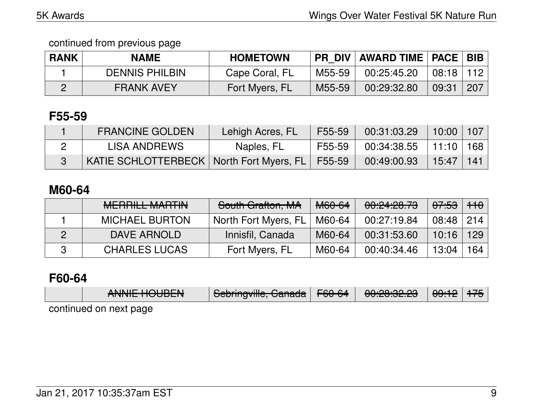| <b>RANK</b> | <b>NAME</b>           | <b>HOMETOWN</b> | <b>PR DIV</b> | <b>AWARD TIME   PACE   BIB</b> |           |     |
|-------------|-----------------------|-----------------|---------------|--------------------------------|-----------|-----|
|             | <b>DENNIS PHILBIN</b> | Cape Coral, FL  | M55-59        | 00:25:45.20                    | 08:18 112 |     |
|             | <b>FRANK AVEY</b>     | Fort Myers, FL  | M55-59        | 00:29:32.80                    | 09:31     | 207 |

# **F55-59**

| <b>FRANCINE GOLDEN</b>                              | ∖Lehigh Acres, FL∖ | F55-59 | 00:31:03.29                                     | 10:00 107     |  |
|-----------------------------------------------------|--------------------|--------|-------------------------------------------------|---------------|--|
| LISA ANDREWS                                        | Naples, FL         | F55-59 | $\frac{1}{2}$ 00:34:38.55 $\pm$ 11:10 $\pm$ 168 |               |  |
| KATIE SCHLOTTERBECK   North Fort Myers, FL   F55-59 |                    |        | 00:49:00.93                                     | $15:47$   141 |  |

# **M60-64**

| MEDDILL MADTINI<br>IVIL TUTULE IVI/ALTER | South Grafton, MA    | M60-64 | 00:24:28.73 | <del>07:53</del> ∣ <del>110</del> |     |
|------------------------------------------|----------------------|--------|-------------|-----------------------------------|-----|
| <b>MICHAEL BURTON</b>                    | North Fort Myers, FL | M60-64 | 00:27:19.84 | $08:48$ 214                       |     |
| DAVE ARNOLD                              | Innisfil, Canada     | M60-64 | 00:31:53.60 | $10:16$   129                     |     |
| <b>CHARLES LUCAS</b>                     | Fort Myers, FL       | M60-64 | 00:40:34.46 | 13:04                             | 164 |

## **F60-64**

| ANINIIE LIALIDENL<br><b>AIVIVIL TIUUDLIV</b> | Colonia quilla Conoale<br>$\sqrt{3}$ <del>cumiyyille, Uanaua</del> I | $\Gamma$ $\cap$ $\cap$ $\Lambda$<br>ਾ ⊤ਰਹ−ਹੁਸ | <u>. ഹ.ഹ.ഹ. ഹ</u><br><del>uu.zu.jz.zu</del> | <del>09:12</del>   <del>175</del> |  |
|----------------------------------------------|----------------------------------------------------------------------|-----------------------------------------------|---------------------------------------------|-----------------------------------|--|
| continued on next page                       |                                                                      |                                               |                                             |                                   |  |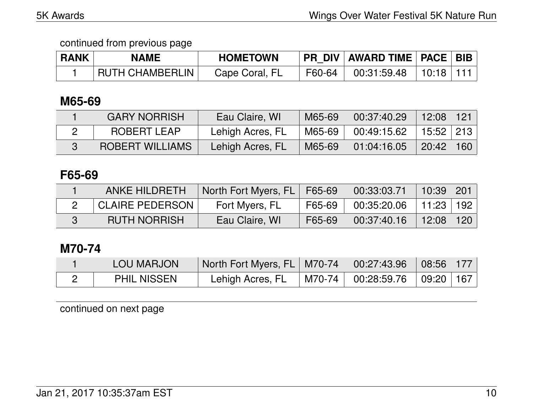| <b>RANK</b> | <b>NAME</b>            | <b>HOMETOWN</b> |        | <b>PR DIV AWARD TIME PACE BIB</b> |                           |  |
|-------------|------------------------|-----------------|--------|-----------------------------------|---------------------------|--|
|             | <b>RUTH CHAMBERLIN</b> | Cape Coral, FL  | F60-64 | ∣ 00:31:59.48 ∣                   | l 10:18 l 11 <sup>.</sup> |  |

## **M65-69**

| <b>GARY NORRISH</b>    | Eau Claire, WI   | M65-69 | 00:37:40.29 | $12:08$   121             |     |
|------------------------|------------------|--------|-------------|---------------------------|-----|
| ROBERT LEAP            | Lehigh Acres, FL | M65-69 | 00:49:15.62 | $\vert$ 15:52 $\vert$ 213 |     |
| <b>ROBERT WILLIAMS</b> | Lehigh Acres, FL | M65-69 | 01:04:16.05 | 20:42                     | 160 |

# **F65-69**

| <b>ANKE HILDRETH</b>   | North Fort Myers, FL   F65-69 |        | 00:33:03.71 | $10:39 \mid 201$ |     |
|------------------------|-------------------------------|--------|-------------|------------------|-----|
| <b>CLAIRE PEDERSON</b> | Fort Myers, FL                | F65-69 | 00:35:20.06 | │ 11:23 │ 192    |     |
| <b>RUTH NORRISH</b>    | Eau Claire, WI                | F65-69 | 00:37:40.16 | 12:08            | 120 |

# **M70-74**

| <b>LOU MARJON</b>  | North Fort Myers, FL   M70-74   00:27:43.96 |                                                                 | $\mid$ 08:56 $\mid$ 177 $\mid$ |  |
|--------------------|---------------------------------------------|-----------------------------------------------------------------|--------------------------------|--|
| <b>PHIL NISSEN</b> | Lehigh Acres, FL                            | $\mid$ M70-74 $\mid$ 00:28:59.76 $\mid$ 09:20 $\mid$ 167 $\mid$ |                                |  |